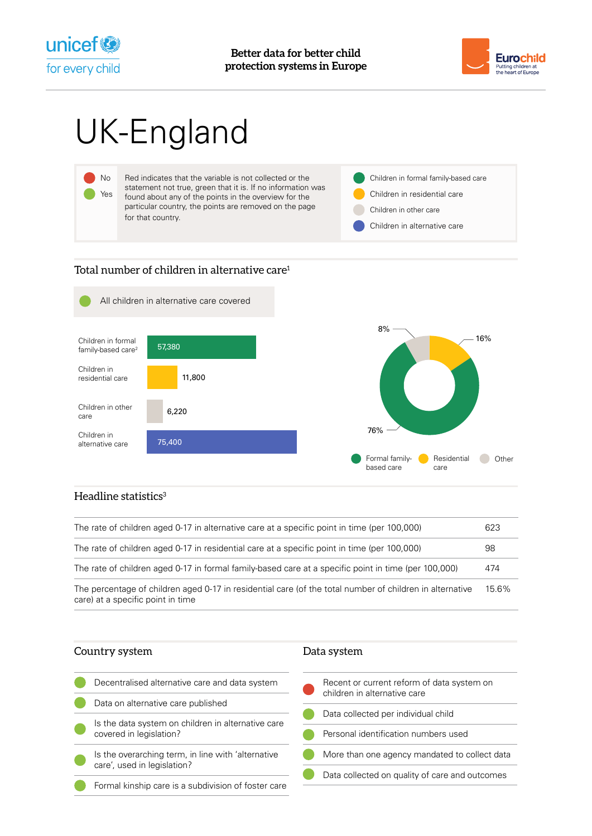



# UK-England



## Total number of children in alternative care<sup>1</sup>



### Headline statistics $3$

| The rate of children aged 0-17 in alternative care at a specific point in time (per 100,000)                                                  | 623   |
|-----------------------------------------------------------------------------------------------------------------------------------------------|-------|
| The rate of children aged 0-17 in residential care at a specific point in time (per 100,000)                                                  | 98    |
| The rate of children aged 0-17 in formal family-based care at a specific point in time (per 100,000)                                          | 474   |
| The percentage of children aged 0-17 in residential care (of the total number of children in alternative<br>care) at a specific point in time | 15.6% |

| Country system                                                                | Data system                                                                |
|-------------------------------------------------------------------------------|----------------------------------------------------------------------------|
| Decentralised alternative care and data system                                | Recent or current reform of data system on<br>children in alternative care |
| Data on alternative care published                                            |                                                                            |
|                                                                               | Data collected per individual child                                        |
| Is the data system on children in alternative care<br>covered in legislation? |                                                                            |
|                                                                               | Personal identification numbers used                                       |
| Is the overarching term, in line with 'alternative                            | More than one agency mandated to collect data                              |
| care', used in legislation?                                                   |                                                                            |
|                                                                               | Data collected on quality of care and outcomes                             |
| Formal kinship care is a subdivision of foster care                           |                                                                            |